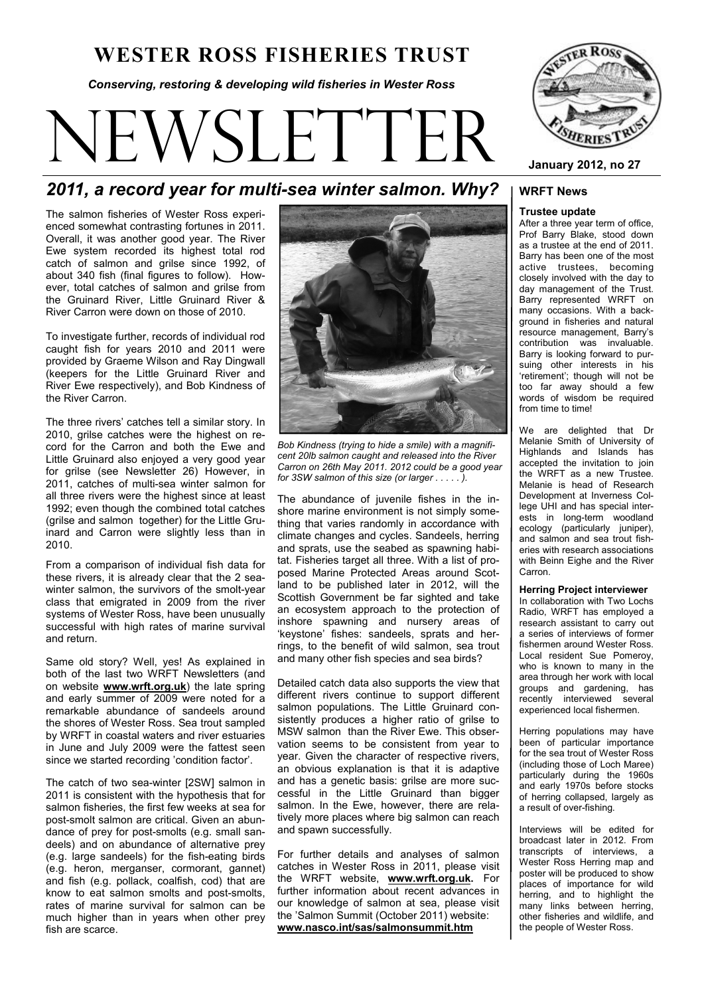# **WESTER ROSS FISHERIES TRUST**

*Conserving, restoring & developing wild fisheries in Wester Ross* 

# VSLETTI



**January 2012, no 27** 

# *2011, a record year for multi-sea winter salmon. Why?*

The salmon fisheries of Wester Ross experienced somewhat contrasting fortunes in 2011. Overall, it was another good year. The River Ewe system recorded its highest total rod catch of salmon and grilse since 1992, of about 340 fish (final figures to follow). However, total catches of salmon and grilse from the Gruinard River, Little Gruinard River & River Carron were down on those of 2010.

To investigate further, records of individual rod caught fish for years 2010 and 2011 were provided by Graeme Wilson and Ray Dingwall (keepers for the Little Gruinard River and River Ewe respectively), and Bob Kindness of the River Carron.

The three rivers' catches tell a similar story. In 2010, grilse catches were the highest on record for the Carron and both the Ewe and Little Gruinard also enjoyed a very good year for grilse (see Newsletter 26) However, in 2011, catches of multi-sea winter salmon for all three rivers were the highest since at least 1992; even though the combined total catches (grilse and salmon together) for the Little Gruinard and Carron were slightly less than in 2010.

From a comparison of individual fish data for these rivers, it is already clear that the 2 seawinter salmon, the survivors of the smolt-year class that emigrated in 2009 from the river systems of Wester Ross, have been unusually successful with high rates of marine survival and return.

Same old story? Well, yes! As explained in both of the last two WRFT Newsletters (and on website **www.wrft.org.uk**) the late spring and early summer of 2009 were noted for a remarkable abundance of sandeels around the shores of Wester Ross. Sea trout sampled by WRFT in coastal waters and river estuaries in June and July 2009 were the fattest seen since we started recording 'condition factor'.

The catch of two sea-winter [2SW] salmon in 2011 is consistent with the hypothesis that for salmon fisheries, the first few weeks at sea for post-smolt salmon are critical. Given an abundance of prey for post-smolts (e.g. small sandeels) and on abundance of alternative prey (e.g. large sandeels) for the fish-eating birds (e.g. heron, merganser, cormorant, gannet) and fish (e.g. pollack, coalfish, cod) that are know to eat salmon smolts and post-smolts, rates of marine survival for salmon can be much higher than in years when other prey fish are scarce.



*Bob Kindness (trying to hide a smile) with a magnificent 20lb salmon caught and released into the River Carron on 26th May 2011. 2012 could be a good year for 3SW salmon of this size (or larger . . . . . ).*

The abundance of juvenile fishes in the inshore marine environment is not simply something that varies randomly in accordance with climate changes and cycles. Sandeels, herring and sprats, use the seabed as spawning habitat. Fisheries target all three. With a list of proposed Marine Protected Areas around Scotland to be published later in 2012, will the Scottish Government be far sighted and take an ecosystem approach to the protection of inshore spawning and nursery areas of 'keystone' fishes: sandeels, sprats and herrings, to the benefit of wild salmon, sea trout and many other fish species and sea birds?

Detailed catch data also supports the view that different rivers continue to support different salmon populations. The Little Gruinard consistently produces a higher ratio of grilse to MSW salmon than the River Ewe. This observation seems to be consistent from year to year. Given the character of respective rivers, an obvious explanation is that it is adaptive and has a genetic basis: grilse are more successful in the Little Gruinard than bigger salmon. In the Ewe, however, there are relatively more places where big salmon can reach and spawn successfully.

For further details and analyses of salmon catches in Wester Ross in 2011, please visit the WRFT website, **www.wrft.org.uk.** For further information about recent advances in our knowledge of salmon at sea, please visit the 'Salmon Summit (October 2011) website: **www.nasco.int/sas/salmonsummit.htm**

# **WRFT News**

#### **Trustee update**

After a three year term of office, Prof Barry Blake, stood down as a trustee at the end of 2011. Barry has been one of the most active trustees, becoming closely involved with the day to day management of the Trust. Barry represented WRFT on many occasions. With a background in fisheries and natural resource management, Barry's contribution was invaluable. Barry is looking forward to pursuing other interests in his 'retirement'; though will not be too far away should a few words of wisdom be required from time to time!

We are delighted that Dr Melanie Smith of University of Highlands and Islands has accepted the invitation to join the WRFT as a new Trustee. Melanie is head of Research Development at Inverness College UHI and has special interests in long-term woodland ecology (particularly juniper). and salmon and sea trout fisheries with research associations with Beinn Eighe and the River Carron.

#### **Herring Project interviewer**

In collaboration with Two Lochs Radio, WRFT has employed a research assistant to carry out a series of interviews of former fishermen around Wester Ross. Local resident Sue Pomeroy, who is known to many in the area through her work with local groups and gardening, has recently interviewed several experienced local fishermen.

Herring populations may have been of particular importance for the sea trout of Wester Ross (including those of Loch Maree) particularly during the 1960s and early 1970s before stocks of herring collapsed, largely as a result of over-fishing.

Interviews will be edited for broadcast later in 2012. From transcripts of interviews, a Wester Ross Herring map and poster will be produced to show places of importance for wild herring, and to highlight the many links between herring, other fisheries and wildlife, and the people of Wester Ross.